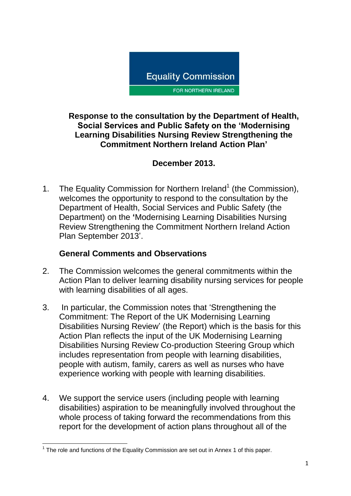

#### **Response to the consultation by the Department of Health, Social Services and Public Safety on the 'Modernising Learning Disabilities Nursing Review Strengthening the Commitment Northern Ireland Action Plan'**

# **December 2013.**

1. The Equality Commission for Northern Ireland<sup>1</sup> (the Commission), welcomes the opportunity to respond to the consultation by the Department of Health, Social Services and Public Safety (the Department) on the **'**Modernising Learning Disabilities Nursing Review Strengthening the Commitment Northern Ireland Action Plan September 2013'.

## **General Comments and Observations**

- 2. The Commission welcomes the general commitments within the Action Plan to deliver learning disability nursing services for people with learning disabilities of all ages.
- 3. In particular, the Commission notes that 'Strengthening the Commitment: The Report of the UK Modernising Learning Disabilities Nursing Review' (the Report) which is the basis for this Action Plan reflects the input of the UK Modernising Learning Disabilities Nursing Review Co-production Steering Group which includes representation from people with learning disabilities, people with autism, family, carers as well as nurses who have experience working with people with learning disabilities.
- 4. We support the service users (including people with learning disabilities) aspiration to be meaningfully involved throughout the whole process of taking forward the recommendations from this report for the development of action plans throughout all of the

<sup>————————————————————&</sup>lt;br><sup>1</sup> The role and functions of the Equality Commission are set out in Annex 1 of this paper.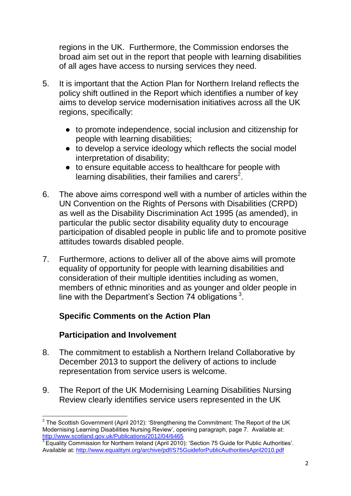regions in the UK. Furthermore, the Commission endorses the broad aim set out in the report that people with learning disabilities of all ages have access to nursing services they need.

- 5. It is important that the Action Plan for Northern Ireland reflects the policy shift outlined in the Report which identifies a number of key aims to develop service modernisation initiatives across all the UK regions, specifically:
	- to promote independence, social inclusion and citizenship for people with learning disabilities;
	- to develop a service ideology which reflects the social model interpretation of disability;
	- to ensure equitable access to healthcare for people with learning disabilities, their families and carers<sup>2</sup>.
- 6. The above aims correspond well with a number of articles within the UN Convention on the Rights of Persons with Disabilities (CRPD) as well as the Disability Discrimination Act 1995 (as amended), in particular the public sector disability equality duty to encourage participation of disabled people in public life and to promote positive attitudes towards disabled people.
- 7. Furthermore, actions to deliver all of the above aims will promote equality of opportunity for people with learning disabilities and consideration of their multiple identities including as women, members of ethnic minorities and as younger and older people in line with the Department's Section 74 obligations  $3$ .

## **Specific Comments on the Action Plan**

## **Participation and Involvement**

- 8. The commitment to establish a Northern Ireland Collaborative by December 2013 to support the delivery of actions to include representation from service users is welcome.
- 9. The Report of the UK Modernising Learning Disabilities Nursing Review clearly identifies service users represented in the UK

 $\overline{\phantom{a}}$ <sup>2</sup> The Scottish Government (April 2012): 'Strengthening the Commitment: The Report of the UK Modernising Learning Disabilities Nursing Review', opening paragraph, page 7. Available at: <http://www.scotland.gov.uk/Publications/2012/04/6465>

 $3$  Equality Commission for Northern Ireland (April 2010): 'Section 75 Guide for Public Authorities'. Available at:<http://www.equalityni.org/archive/pdf/S75GuideforPublicAuthoritiesApril2010.pdf>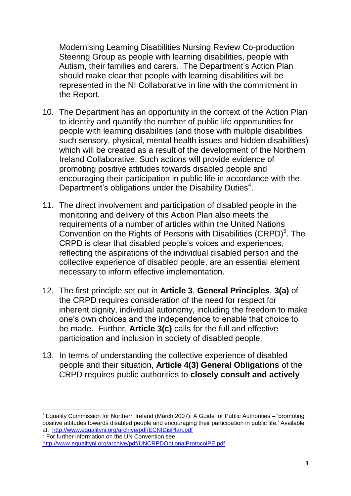Modernising Learning Disabilities Nursing Review Co-production Steering Group as people with learning disabilities, people with Autism, their families and carers. The Department's Action Plan should make clear that people with learning disabilities will be represented in the NI Collaborative in line with the commitment in the Report.

- 10. The Department has an opportunity in the context of the Action Plan to identity and quantify the number of public life opportunities for people with learning disabilities (and those with multiple disabilities such sensory, physical, mental health issues and hidden disabilities) which will be created as a result of the development of the Northern Ireland Collaborative. Such actions will provide evidence of promoting positive attitudes towards disabled people and encouraging their participation in public life in accordance with the Department's obligations under the Disability Duties<sup>4</sup>.
- 11. The direct involvement and participation of disabled people in the monitoring and delivery of this Action Plan also meets the requirements of a number of articles within the United Nations Convention on the Rights of Persons with Disabilities (CRPD)<sup>5</sup>. The CRPD is clear that disabled people's voices and experiences, reflecting the aspirations of the individual disabled person and the collective experience of disabled people, are an essential element necessary to inform effective implementation.
- 12. The first principle set out in **Article 3**, **General Principles**, **3(a)** of the CRPD requires consideration of the need for respect for inherent dignity, individual autonomy, including the freedom to make one's own choices and the independence to enable that choice to be made. Further, **Article 3(c)** calls for the full and effective participation and inclusion in society of disabled people.
- 13. In terms of understanding the collective experience of disabled people and their situation, **Article 4(3) General Obligations** of the CRPD requires public authorities to **closely consult and actively**

1

 $4$  Equality Commission for Northern Ireland (March 2007): A Guide for Public Authorities – 'promoting positive attitudes towards disabled people and encouraging their participation in public life.' Available at: <http://www.equalityni.org/archive/pdf/ECNIDisPlan.pdf>

<sup>5</sup> For further information on the UN Convention see: <http://www.equalityni.org/archive/pdf/UNCRPDOptionalProtocolPE.pdf>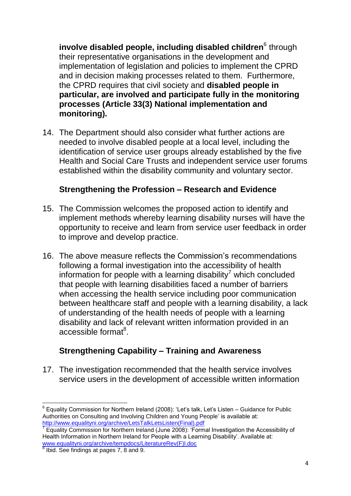**involve disabled people, including disabled children** $^6$  **through** their representative organisations in the development and implementation of legislation and policies to implement the CPRD and in decision making processes related to them. Furthermore, the CPRD requires that civil society and **disabled people in particular, are involved and participate fully in the monitoring processes (Article 33(3) National implementation and monitoring).**

14. The Department should also consider what further actions are needed to involve disabled people at a local level, including the identification of service user groups already established by the five Health and Social Care Trusts and independent service user forums established within the disability community and voluntary sector.

#### **Strengthening the Profession – Research and Evidence**

- 15. The Commission welcomes the proposed action to identify and implement methods whereby learning disability nurses will have the opportunity to receive and learn from service user feedback in order to improve and develop practice.
- 16. The above measure reflects the Commission's recommendations following a formal investigation into the accessibility of health information for people with a learning disability<sup>7</sup> which concluded that people with learning disabilities faced a number of barriers when accessing the health service including poor communication between healthcare staff and people with a learning disability, a lack of understanding of the health needs of people with a learning disability and lack of relevant written information provided in an accessible format<sup>8</sup>.

## **Strengthening Capability – Training and Awareness**

17. The investigation recommended that the health service involves service users in the development of accessible written information

**<sup>.</sup>**  $6$  Equality Commission for Northern Ireland (2008): 'Let's talk, Let's Listen – Guidance for Public Authorities on Consulting and Involving Children and Young People' is available at: [http://www.equalityni.org/archive/LetsTalkLetsListen\(Final\).pdf](http://www.equalityni.org/archive/LetsTalkLetsListen(Final).pdf)<br>7 Equality Commission for Northern Ireland (June 2008): 'Eerm

Equality Commission for Northern Ireland (June 2008): 'Formal Investigation the Accessibility of Health Information in Northern Ireland for People with a Learning Disability'. Available at: [www.equalityni.org/archive/tempdocs/LiteratureRev\(F\)l.doc](http://www.equalityni.org/archive/tempdocs/LiteratureRev(F)l.doc) 8 Ibid. See findings at pages 7, 8 and 9.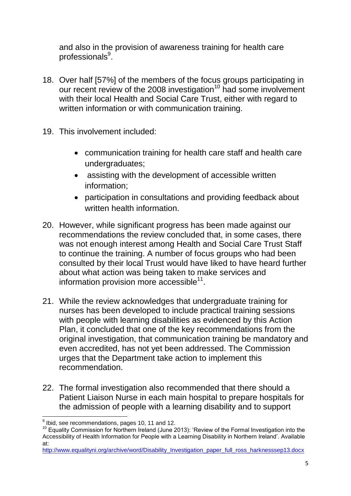and also in the provision of awareness training for health care professionals $^9$ .

- 18. Over half [57%] of the members of the focus groups participating in our recent review of the 2008 investigation<sup>10</sup> had some involvement with their local Health and Social Care Trust, either with regard to written information or with communication training.
- 19. This involvement included:
	- communication training for health care staff and health care undergraduates;
	- assisting with the development of accessible written information;
	- participation in consultations and providing feedback about written health information.
- 20. However, while significant progress has been made against our recommendations the review concluded that, in some cases, there was not enough interest among Health and Social Care Trust Staff to continue the training. A number of focus groups who had been consulted by their local Trust would have liked to have heard further about what action was being taken to make services and information provision more  $\bar{a}$ ccessible<sup>11</sup>.
- 21. While the review acknowledges that undergraduate training for nurses has been developed to include practical training sessions with people with learning disabilities as evidenced by this Action Plan, it concluded that one of the key recommendations from the original investigation, that communication training be mandatory and even accredited, has not yet been addressed. The Commission urges that the Department take action to implement this recommendation.
- 22. The formal investigation also recommended that there should a Patient Liaison Nurse in each main hospital to prepare hospitals for the admission of people with a learning disability and to support

 9 Ibid, see recommendations, pages 10, 11 and 12.

<sup>10</sup> Equality Commission for Northern Ireland (June 2013): 'Review of the Formal Investigation into the Accessibility of Health Information for People with a Learning Disability in Northern Ireland'. Available at:

[http://www.equalityni.org/archive/word/Disability\\_Investigation\\_paper\\_full\\_ross\\_harknesssep13.docx](http://www.equalityni.org/archive/word/Disability_Investigation_paper_full_ross_harknesssep13.docx)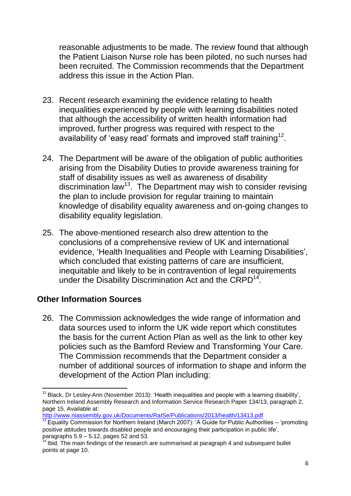reasonable adjustments to be made. The review found that although the Patient Liaison Nurse role has been piloted, no such nurses had been recruited. The Commission recommends that the Department address this issue in the Action Plan.

- 23. Recent research examining the evidence relating to health inequalities experienced by people with learning disabilities noted that although the accessibility of written health information had improved, further progress was required with respect to the availability of 'easy read' formats and improved staff training<sup>12</sup>.
- 24. The Department will be aware of the obligation of public authorities arising from the Disability Duties to provide awareness training for staff of disability issues as well as awareness of disability discrimination law<sup>13</sup>. The Department may wish to consider revising the plan to include provision for regular training to maintain knowledge of disability equality awareness and on-going changes to disability equality legislation.
- 25. The above-mentioned research also drew attention to the conclusions of a comprehensive review of UK and international evidence, 'Health Inequalities and People with Learning Disabilities', which concluded that existing patterns of care are insufficient, inequitable and likely to be in contravention of legal requirements under the Disability Discrimination Act and the CRPD<sup>14</sup>.

## **Other Information Sources**

26. The Commission acknowledges the wide range of information and data sources used to inform the UK wide report which constitutes the basis for the current Action Plan as well as the link to other key policies such as the Bamford Review and Transforming Your Care. The Commission recommends that the Department consider a number of additional sources of information to shape and inform the development of the Action Plan including:

<http://www.niassembly.gov.uk/Documents/RaISe/Publications/2013/health/13413.pdf>

**<sup>.</sup>**  $12$  Black, Dr Lesley-Ann (November 2013): 'Health inequalities and people with a learning disability', Northern Ireland Assembly Research and Information Service Research Paper 134/13, paragraph 2, page 15. Available at:

 $\frac{13}{13}$  Equality Commission for Northern Ireland (March 2007): 'A Guide for Public Authorities – 'promoting positive attitudes towards disabled people and encouraging their participation in public life', paragraphs  $5.9 - 5.12$ , pages  $52$  and  $53$ .

<sup>&</sup>lt;sup>14</sup> Ibid. The main findings of the research are summarised at paragraph 4 and subsequent bullet points at page 10.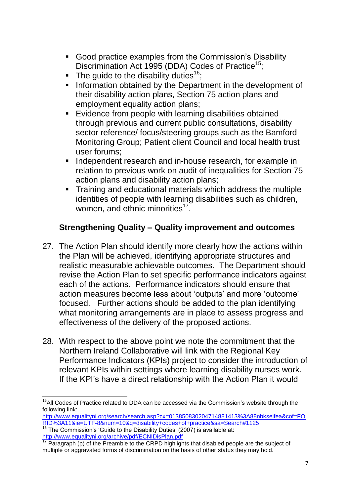- Good practice examples from the Commission's Disability Discrimination Act 1995 (DDA) Codes of Practice<sup>15</sup>;
- The quide to the disability duties<sup>16</sup>;
- **Information obtained by the Department in the development of** their disability action plans, Section 75 action plans and employment equality action plans;
- **Evidence from people with learning disabilities obtained** through previous and current public consultations, disability sector reference/ focus/steering groups such as the Bamford Monitoring Group; Patient client Council and local health trust user forums;
- **Independent research and in-house research, for example in** relation to previous work on audit of inequalities for Section 75 action plans and disability action plans;
- **Training and educational materials which address the multiple** identities of people with learning disabilities such as children, women, and ethnic minorities<sup>17</sup>.

# **Strengthening Quality – Quality improvement and outcomes**

- 27. The Action Plan should identify more clearly how the actions within the Plan will be achieved, identifying appropriate structures and realistic measurable achievable outcomes. The Department should revise the Action Plan to set specific performance indicators against each of the actions. Performance indicators should ensure that action measures become less about 'outputs' and more 'outcome' focused. Further actions should be added to the plan identifying what monitoring arrangements are in place to assess progress and effectiveness of the delivery of the proposed actions.
- 28. With respect to the above point we note the commitment that the Northern Ireland Collaborative will link with the Regional Key Performance Indicators (KPIs) project to consider the introduction of relevant KPIs within settings where learning disability nurses work. If the KPI's have a direct relationship with the Action Plan it would

**<sup>.</sup>**  $15$ All Codes of Practice related to DDA can be accessed via the Commission's website through the following link:

[http://www.equalityni.org/search/search.asp?cx=013850830204714881413%3A88nbkseifea&cof=FO](http://www.equalityni.org/search/search.asp?cx=013850830204714881413%3A88nbkseifea&cof=FORID%3A11&ie=UTF-8&num=10&q=disability+codes+of+practice&sa=Search#1125) [RID%3A11&ie=UTF-8&num=10&q=disability+codes+of+practice&sa=Search#1125](http://www.equalityni.org/search/search.asp?cx=013850830204714881413%3A88nbkseifea&cof=FORID%3A11&ie=UTF-8&num=10&q=disability+codes+of+practice&sa=Search#1125)

 $\frac{16}{16}$  The Commission's 'Guide to the Disability Duties' (2007) is available at: <http://www.equalityni.org/archive/pdf/ECNIDisPlan.pdf>

<sup>&</sup>lt;sup>17</sup> Paragraph (p) of the Preamble to the CRPD highlights that disabled people are the subject of multiple or aggravated forms of discrimination on the basis of other status they may hold.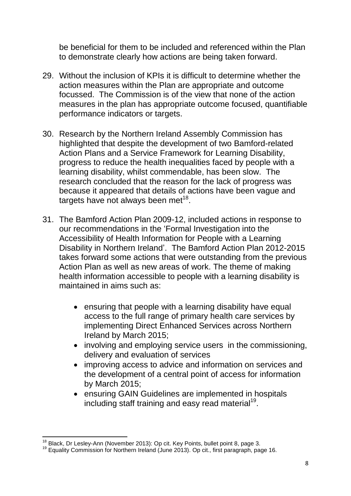be beneficial for them to be included and referenced within the Plan to demonstrate clearly how actions are being taken forward.

- 29. Without the inclusion of KPIs it is difficult to determine whether the action measures within the Plan are appropriate and outcome focussed. The Commission is of the view that none of the action measures in the plan has appropriate outcome focused, quantifiable performance indicators or targets.
- 30. Research by the Northern Ireland Assembly Commission has highlighted that despite the development of two Bamford-related Action Plans and a Service Framework for Learning Disability, progress to reduce the health inequalities faced by people with a learning disability, whilst commendable, has been slow. The research concluded that the reason for the lack of progress was because it appeared that details of actions have been vague and targets have not always been met $18$ .
- 31. The Bamford Action Plan 2009-12, included actions in response to our recommendations in the 'Formal Investigation into the Accessibility of Health Information for People with a Learning Disability in Northern Ireland'. The Bamford Action Plan 2012-2015 takes forward some actions that were outstanding from the previous Action Plan as well as new areas of work. The theme of making health information accessible to people with a learning disability is maintained in aims such as:
	- ensuring that people with a learning disability have equal access to the full range of primary health care services by implementing Direct Enhanced Services across Northern Ireland by March 2015;
	- involving and employing service users in the commissioning, delivery and evaluation of services
	- improving access to advice and information on services and the development of a central point of access for information by March 2015;
	- ensuring GAIN Guidelines are implemented in hospitals including staff training and easy read material<sup>19</sup>.

**<sup>.</sup>**  $18$  Black, Dr Lesley-Ann (November 2013): Op cit. Key Points, bullet point 8, page 3.

<sup>&</sup>lt;sup>19</sup> Equality Commission for Northern Ireland (June 2013). Op cit., first paragraph, page 16.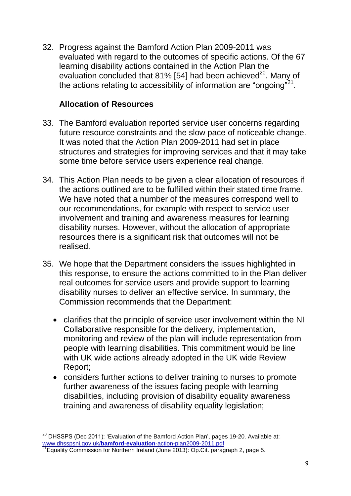32. Progress against the Bamford Action Plan 2009-2011 was evaluated with regard to the outcomes of specific actions. Of the 67 learning disability actions contained in the Action Plan the evaluation concluded that 81% [54] had been achieved $^{20}$ . Many of the actions relating to accessibility of information are "ongoing"<sup>21</sup>.

#### **Allocation of Resources**

- 33. The Bamford evaluation reported service user concerns regarding future resource constraints and the slow pace of noticeable change. It was noted that the Action Plan 2009-2011 had set in place structures and strategies for improving services and that it may take some time before service users experience real change.
- 34. This Action Plan needs to be given a clear allocation of resources if the actions outlined are to be fulfilled within their stated time frame. We have noted that a number of the measures correspond well to our recommendations, for example with respect to service user involvement and training and awareness measures for learning disability nurses. However, without the allocation of appropriate resources there is a significant risk that outcomes will not be realised.
- 35. We hope that the Department considers the issues highlighted in this response, to ensure the actions committed to in the Plan deliver real outcomes for service users and provide support to learning disability nurses to deliver an effective service. In summary, the Commission recommends that the Department:
	- clarifies that the principle of service user involvement within the NI Collaborative responsible for the delivery, implementation, monitoring and review of the plan will include representation from people with learning disabilities. This commitment would be line with UK wide actions already adopted in the UK wide Review Report;
	- considers further actions to deliver training to nurses to promote further awareness of the issues facing people with learning disabilities, including provision of disability equality awareness training and awareness of disability equality legislation;

 $\overline{\phantom{a}}$ 

 $^{20}$  DHSSPS (Dec 2011): 'Evaluation of the Bamford Action Plan', pages 19-20. Available at: www.dhsspsni.gov.uk/**bamford**-**evaluation**[-action-plan2009-2011.pdf](http://www.dhsspsni.gov.uk/bamford-evaluation-action-plan2009-2011.pdf)

<sup>&</sup>lt;sup>21</sup>Equality Commission for Northern Ireland (June 2013): Op.Cit. paragraph 2, page 5.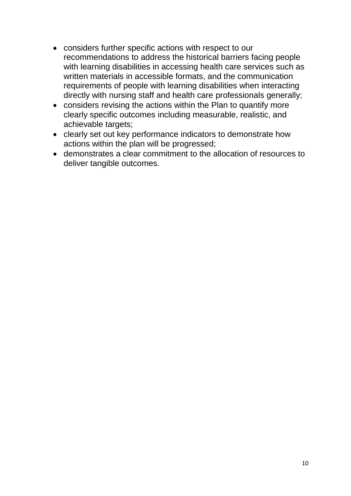- considers further specific actions with respect to our recommendations to address the historical barriers facing people with learning disabilities in accessing health care services such as written materials in accessible formats, and the communication requirements of people with learning disabilities when interacting directly with nursing staff and health care professionals generally;
- considers revising the actions within the Plan to quantify more clearly specific outcomes including measurable, realistic, and achievable targets;
- clearly set out key performance indicators to demonstrate how actions within the plan will be progressed;
- demonstrates a clear commitment to the allocation of resources to deliver tangible outcomes.